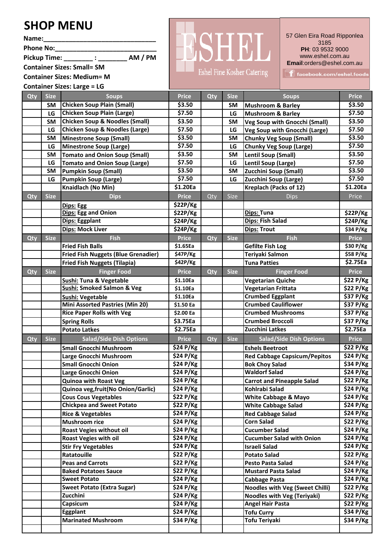## **SHOP MENU**

**Name:\_\_\_\_\_\_\_\_\_\_\_\_\_\_\_\_\_\_\_\_\_\_\_\_\_\_\_\_\_\_\_**

Phone No:

**Pickup Time: \_\_\_\_\_\_\_\_ : \_\_\_\_\_\_\_\_ AM / PM**

**Container Sizes: Small= SM Container Sizes: Medium= M**  Eshel Fine Kosher Catering

57 Glen Eira Road Ripponlea 3185 **PH: 03 9532 9000** www.eshel.com.au **Email**:orders@eshel.com.au

f facebook.com/eshel.foods

**Container Sizes: Large = LG**

|     |             | $\mathbf{C}$                                               |                       |            |             |                                        |                       |
|-----|-------------|------------------------------------------------------------|-----------------------|------------|-------------|----------------------------------------|-----------------------|
| Qty | <b>Size</b> | <b>Soups</b>                                               | <b>Price</b>          | <b>Qty</b> | <b>Size</b> | <b>Soups</b>                           | <b>Price</b>          |
|     | <b>SM</b>   | <b>Chicken Soup Plain (Small)</b>                          | \$3.50                |            | <b>SM</b>   | <b>Mushroom &amp; Barley</b>           | \$3.50                |
|     | LG          | <b>Chicken Soup Plain (Large)</b>                          | \$7.50                |            | LG          | <b>Mushroom &amp; Barley</b>           | \$7.50                |
|     | <b>SM</b>   | <b>Chicken Soup &amp; Noodles (Small)</b>                  | \$3.50                |            | <b>SM</b>   | <b>Veg Soup with Gnocchi (Small)</b>   | \$3.50                |
|     | LG          | <b>Chicken Soup &amp; Noodles (Large)</b>                  | \$7.50                |            | LG          | <b>Veg Soup with Gnocchi (Large)</b>   | \$7.50                |
|     | <b>SM</b>   | <b>Minestrone Soup (Small)</b>                             | \$3.50                |            | SM          | <b>Chunky Veg Soup (Small)</b>         | \$3.50                |
|     | LG          | <b>Minestrone Soup (Large)</b>                             | \$7.50                |            | LG          | <b>Chunky Veg Soup (Large)</b>         | \$7.50                |
|     | <b>SM</b>   | <b>Tomato and Onion Soup (Small)</b>                       | \$3.50                |            | <b>SM</b>   | <b>Lentil Soup (Small)</b>             | \$3.50                |
|     | LG          | <b>Tomato and Onion Soup (Large)</b>                       | \$7.50                |            | LG          | Lentil Soup (Large)                    | \$7.50                |
|     | <b>SM</b>   | <b>Pumpkin Soup (Small)</b>                                | \$3.50                |            | <b>SM</b>   | <b>Zucchini Soup (Small)</b>           | \$3.50                |
|     | LG          | <b>Pumpkin Soup (Large)</b>                                | \$7.50                |            | LG          | Zucchini Soup (Large)                  | \$7.50                |
|     |             | Knaidlach (No Min)                                         | \$1.20Ea              |            |             | <b>Kreplach (Packs of 12)</b>          | \$1.20Ea              |
| Qty | <b>Size</b> | <b>Dips</b>                                                | <b>Price</b>          | Qty        | Size        | <b>Dips</b>                            | Price                 |
|     |             | Dips: Egg                                                  | \$22P/Kg              |            |             |                                        |                       |
|     |             | <b>Dips: Egg and Onion</b>                                 | \$22P/Kg              |            |             | <b>Dips: Tuna</b>                      | \$22P/Kg              |
|     |             | Dips: Eggplant                                             | \$24P/Kg              |            |             | <b>Dips: Fish Salad</b>                | \$24P/Kg              |
|     |             | <b>Dips: Mock Liver</b>                                    | \$24P/Kg              |            |             | <b>Dips: Trout</b>                     | \$34 P/Kg             |
| Qty | <b>Size</b> | <b>Fish</b>                                                | <b>Price</b>          | Qty        | <b>Size</b> | <b>Fish</b>                            | <b>Price</b>          |
|     |             | <b>Fried Fish Balls</b>                                    | \$1.65Ea              |            |             | <b>Gefilte Fish Log</b>                | \$30 P/Kg             |
|     |             | <b>Fried Fish Nuggets (Blue Grenadier)</b>                 | \$47P/Kg              |            |             | Teriyaki Salmon                        | \$58 P/Kg             |
|     |             | <b>Fried Fish Nuggets (Tilapia)</b>                        | \$42P/Kg              |            |             | <b>Tuna Patties</b>                    | \$2.75Ea              |
|     | <b>Size</b> | <b>Finger Food</b>                                         | <b>Price</b>          | Qty        | <b>Size</b> | <b>Finger Food</b>                     | <b>Price</b>          |
| Qty |             | Sushi: Tuna & Vegetable                                    | \$1.10Ea              |            |             | <b>Vegetarian Quiche</b>               | \$22 P/Kg             |
|     |             | Sushi: Smoked Salmon & Veg                                 | \$1.10Ea              |            |             | <b>Vegetarian Frittata</b>             | \$22 P/Kg             |
|     |             |                                                            |                       |            |             | <b>Crumbed Eggplant</b>                | \$37 P/Kg             |
|     |             | Sushi: Vegetable<br><b>Mini Assorted Pastries (Min 20)</b> | \$1.10Ea              |            |             | <b>Crumbed Cauliflower</b>             |                       |
|     |             |                                                            | \$1.50 Ea             |            |             | <b>Crumbed Mushrooms</b>               | \$37 P/Kg             |
|     |             | <b>Rice Paper Rolls with Veg</b>                           | \$2.00 Ea             |            |             | <b>Crumbed Broccoli</b>                | \$37 P/Kg             |
|     |             | <b>Spring Rolls</b>                                        | \$3.75Ea<br>\$2.75Ea  |            |             | <b>Zucchini Latkes</b>                 | \$37 P/Kg<br>\$2.75Ea |
|     |             | <b>Potato Latkes</b>                                       |                       |            |             |                                        |                       |
| Qty | <b>Size</b> | <b>Salad/Side Dish Options</b>                             | <b>Price</b>          | Qty        | <b>Size</b> | <b>Salad/Side Dish Options</b>         | <b>Price</b>          |
|     |             | <b>Small Gnocchi Mushroom</b>                              | \$24 P/Kg             |            |             | <b>Eshels Beetroot</b>                 | \$22 P/Kg             |
|     |             | Large Gnocchi Mushroom                                     | \$24 P/Kg             |            |             | <b>Red Cabbage Capsicum/Pepitos</b>    | \$24 P/Kg             |
|     |             | <b>Small Gnocchi Onion</b>                                 | \$24 P/Kg             |            |             | <b>Bok Choy Salad</b>                  | \$34 P/Kg             |
|     |             | Large Gnocchi Onion                                        | \$24 P/Kg             |            |             | <b>Waldorf Salad</b>                   | \$24 P/Kg             |
|     |             | <b>Quinoa with Roast Veg</b>                               | \$24 P/Kg             |            |             | <b>Carrot and Pineapple Salad</b>      | \$22 P/Kg             |
|     |             | Quinoa veg, fruit (No Onion/Garlic)                        | \$24 P/Kg             |            |             | Kohlrabi Salad                         | \$24 P/Kg             |
|     |             | <b>Cous Cous Vegetables</b>                                | $\overline{$}22 P/Kg$ |            |             | <b>White Cabbage &amp; Mayo</b>        | \$24 P/Kg             |
|     |             | <b>Chickpea and Sweet Potato</b>                           | \$22 P/Kg             |            |             | <b>White Cabbage Salad</b>             | \$24 P/Kg             |
|     |             | <b>Rice &amp; Vegetables</b>                               | \$24 P/Kg             |            |             | <b>Red Cabbage Salad</b>               | \$24 P/Kg             |
|     |             | <b>Mushroom rice</b>                                       | \$24 P/Kg             |            |             | <b>Corn Salad</b>                      | \$22 P/Kg             |
|     |             | <b>Roast Vegies without oil</b>                            | \$24 P/Kg             |            |             | <b>Cucumber Salad</b>                  | \$24 P/Kg             |
|     |             | <b>Roast Vegies with oil</b>                               | \$24 P/Kg             |            |             | <b>Cucumber Salad with Onion</b>       | \$24 P/Kg             |
|     |             | <b>Stir Fry Vegetables</b>                                 | \$24 P/Kg             |            |             | <b>Israeli Salad</b>                   | $\overline{$}24 P/Kg$ |
|     |             | Ratatouille                                                | \$22 P/Kg             |            |             | <b>Potato Salad</b>                    | \$22 P/Kg             |
|     |             | <b>Peas and Carrots</b>                                    | \$22 P/Kg             |            |             | <b>Pesto Pasta Salad</b>               | \$24 P/Kg             |
|     |             | <b>Baked Potatoes Sauce</b>                                | \$22 P/Kg             |            |             | <b>Mustard Pasta Salad</b>             | \$24 P/Kg             |
|     |             | <b>Sweet Potato</b>                                        | \$24 P/Kg             |            |             | <b>Cabbage Pasta</b>                   | \$24 P/Kg             |
|     |             | <b>Sweet Potato (Extra Sugar)</b>                          | $\overline{$}24 P/Kg$ |            |             | <b>Noodles with Veg (Sweet Chilli)</b> | \$22 P/Kg             |
|     |             | Zucchini                                                   | \$24 P/Kg             |            |             | <b>Noodles with Veg (Teriyaki)</b>     | \$22 P/Kg             |
|     |             | Capsicum                                                   | \$24 P/Kg             |            |             | <b>Angel Hair Pasta</b>                | \$22 P/Kg             |
|     |             | Eggplant                                                   | \$24 P/Kg             |            |             | <b>Tofu Curry</b>                      | \$34 P/Kg             |
|     |             | <b>Marinated Mushroom</b>                                  | \$34 P/Kg             |            |             | <b>Tofu Teriyaki</b>                   | \$34 P/Kg             |
|     |             |                                                            |                       |            |             |                                        |                       |